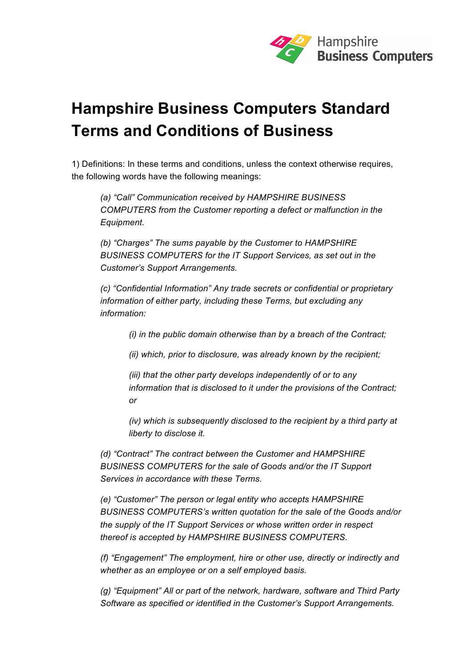

# **Hampshire Business Computers Standard Terms and Conditions of Business**

1) Definitions: In these terms and conditions, unless the context otherwise requires, the following words have the following meanings:

*(a) "Call" Communication received by HAMPSHIRE BUSINESS COMPUTERS from the Customer reporting a defect or malfunction in the Equipment.* 

*(b) "Charges" The sums payable by the Customer to HAMPSHIRE BUSINESS COMPUTERS for the IT Support Services, as set out in the Customer's Support Arrangements.* 

*(c) "Confidential Information" Any trade secrets or confidential or proprietary information of either party, including these Terms, but excluding any information:* 

*(i) in the public domain otherwise than by a breach of the Contract;* 

*(ii) which, prior to disclosure, was already known by the recipient;* 

*(iii) that the other party develops independently of or to any information that is disclosed to it under the provisions of the Contract; or* 

*(iv) which is subsequently disclosed to the recipient by a third party at liberty to disclose it.* 

*(d) "Contract" The contract between the Customer and HAMPSHIRE BUSINESS COMPUTERS for the sale of Goods and/or the IT Support Services in accordance with these Terms.* 

*(e) "Customer" The person or legal entity who accepts HAMPSHIRE BUSINESS COMPUTERS's written quotation for the sale of the Goods and/or the supply of the IT Support Services or whose written order in respect thereof is accepted by HAMPSHIRE BUSINESS COMPUTERS.* 

*(f) "Engagement" The employment, hire or other use, directly or indirectly and whether as an employee or on a self employed basis.* 

*(g) "Equipment" All or part of the network, hardware, software and Third Party Software as specified or identified in the Customer's Support Arrangements.*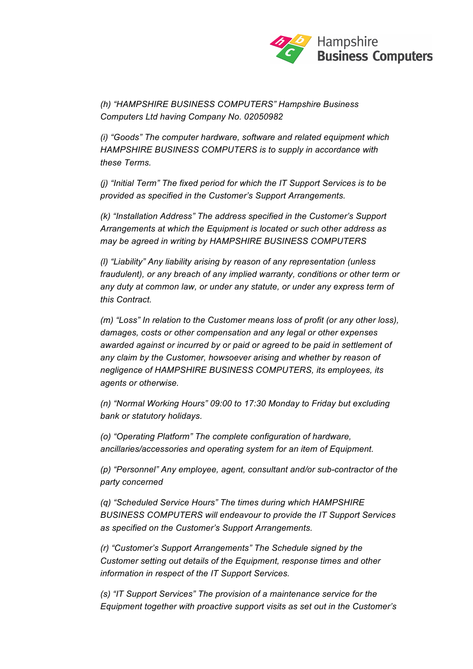

*(h) "HAMPSHIRE BUSINESS COMPUTERS" Hampshire Business Computers Ltd having Company No. 02050982*

*(i) "Goods" The computer hardware, software and related equipment which HAMPSHIRE BUSINESS COMPUTERS is to supply in accordance with these Terms.* 

*(j) "Initial Term" The fixed period for which the IT Support Services is to be provided as specified in the Customer's Support Arrangements.* 

*(k) "Installation Address" The address specified in the Customer's Support Arrangements at which the Equipment is located or such other address as may be agreed in writing by HAMPSHIRE BUSINESS COMPUTERS*

*(l) "Liability" Any liability arising by reason of any representation (unless fraudulent), or any breach of any implied warranty, conditions or other term or any duty at common law, or under any statute, or under any express term of this Contract.* 

*(m) "Loss" In relation to the Customer means loss of profit (or any other loss), damages, costs or other compensation and any legal or other expenses awarded against or incurred by or paid or agreed to be paid in settlement of any claim by the Customer, howsoever arising and whether by reason of negligence of HAMPSHIRE BUSINESS COMPUTERS, its employees, its agents or otherwise.* 

*(n) "Normal Working Hours" 09:00 to 17:30 Monday to Friday but excluding bank or statutory holidays.* 

*(o) "Operating Platform" The complete configuration of hardware, ancillaries/accessories and operating system for an item of Equipment.* 

*(p) "Personnel" Any employee, agent, consultant and/or sub-contractor of the party concerned* 

*(q) "Scheduled Service Hours" The times during which HAMPSHIRE BUSINESS COMPUTERS will endeavour to provide the IT Support Services as specified on the Customer's Support Arrangements.* 

*(r) "Customer's Support Arrangements" The Schedule signed by the Customer setting out details of the Equipment, response times and other information in respect of the IT Support Services.* 

*(s) "IT Support Services" The provision of a maintenance service for the Equipment together with proactive support visits as set out in the Customer's*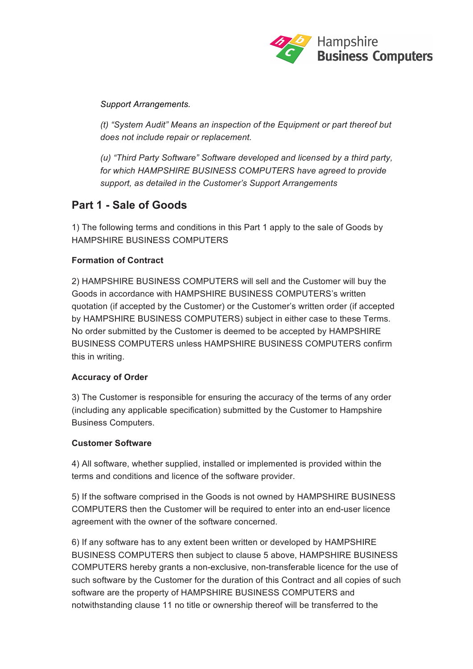

*Support Arrangements.* 

*(t) "System Audit" Means an inspection of the Equipment or part thereof but does not include repair or replacement.* 

*(u) "Third Party Software" Software developed and licensed by a third party, for which HAMPSHIRE BUSINESS COMPUTERS have agreed to provide support, as detailed in the Customer's Support Arrangements*

# **Part 1 - Sale of Goods**

1) The following terms and conditions in this Part 1 apply to the sale of Goods by HAMPSHIRE BUSINESS COMPUTERS

# **Formation of Contract**

2) HAMPSHIRE BUSINESS COMPUTERS will sell and the Customer will buy the Goods in accordance with HAMPSHIRE BUSINESS COMPUTERS's written quotation (if accepted by the Customer) or the Customer's written order (if accepted by HAMPSHIRE BUSINESS COMPUTERS) subject in either case to these Terms. No order submitted by the Customer is deemed to be accepted by HAMPSHIRE BUSINESS COMPUTERS unless HAMPSHIRE BUSINESS COMPUTERS confirm this in writing.

# **Accuracy of Order**

3) The Customer is responsible for ensuring the accuracy of the terms of any order (including any applicable specification) submitted by the Customer to Hampshire Business Computers.

# **Customer Software**

4) All software, whether supplied, installed or implemented is provided within the terms and conditions and licence of the software provider.

5) If the software comprised in the Goods is not owned by HAMPSHIRE BUSINESS COMPUTERS then the Customer will be required to enter into an end-user licence agreement with the owner of the software concerned.

6) If any software has to any extent been written or developed by HAMPSHIRE BUSINESS COMPUTERS then subject to clause 5 above, HAMPSHIRE BUSINESS COMPUTERS hereby grants a non-exclusive, non-transferable licence for the use of such software by the Customer for the duration of this Contract and all copies of such software are the property of HAMPSHIRE BUSINESS COMPUTERS and notwithstanding clause 11 no title or ownership thereof will be transferred to the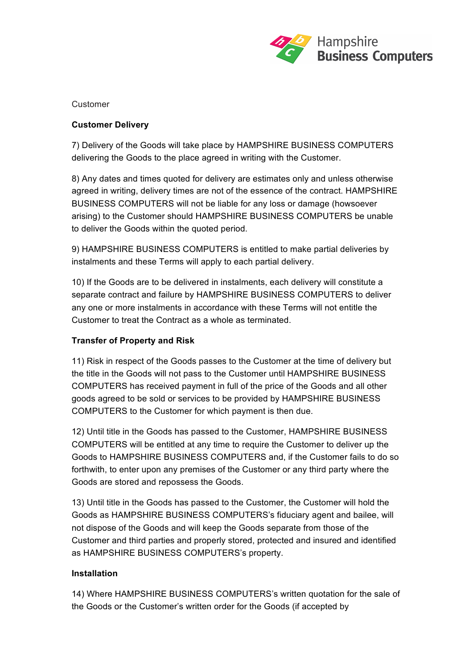

#### Customer

#### **Customer Delivery**

7) Delivery of the Goods will take place by HAMPSHIRE BUSINESS COMPUTERS delivering the Goods to the place agreed in writing with the Customer.

8) Any dates and times quoted for delivery are estimates only and unless otherwise agreed in writing, delivery times are not of the essence of the contract. HAMPSHIRE BUSINESS COMPUTERS will not be liable for any loss or damage (howsoever arising) to the Customer should HAMPSHIRE BUSINESS COMPUTERS be unable to deliver the Goods within the quoted period.

9) HAMPSHIRE BUSINESS COMPUTERS is entitled to make partial deliveries by instalments and these Terms will apply to each partial delivery.

10) If the Goods are to be delivered in instalments, each delivery will constitute a separate contract and failure by HAMPSHIRE BUSINESS COMPUTERS to deliver any one or more instalments in accordance with these Terms will not entitle the Customer to treat the Contract as a whole as terminated.

# **Transfer of Property and Risk**

11) Risk in respect of the Goods passes to the Customer at the time of delivery but the title in the Goods will not pass to the Customer until HAMPSHIRE BUSINESS COMPUTERS has received payment in full of the price of the Goods and all other goods agreed to be sold or services to be provided by HAMPSHIRE BUSINESS COMPUTERS to the Customer for which payment is then due.

12) Until title in the Goods has passed to the Customer, HAMPSHIRE BUSINESS COMPUTERS will be entitled at any time to require the Customer to deliver up the Goods to HAMPSHIRE BUSINESS COMPUTERS and, if the Customer fails to do so forthwith, to enter upon any premises of the Customer or any third party where the Goods are stored and repossess the Goods.

13) Until title in the Goods has passed to the Customer, the Customer will hold the Goods as HAMPSHIRE BUSINESS COMPUTERS's fiduciary agent and bailee, will not dispose of the Goods and will keep the Goods separate from those of the Customer and third parties and properly stored, protected and insured and identified as HAMPSHIRE BUSINESS COMPUTERS's property.

#### **Installation**

14) Where HAMPSHIRE BUSINESS COMPUTERS's written quotation for the sale of the Goods or the Customer's written order for the Goods (if accepted by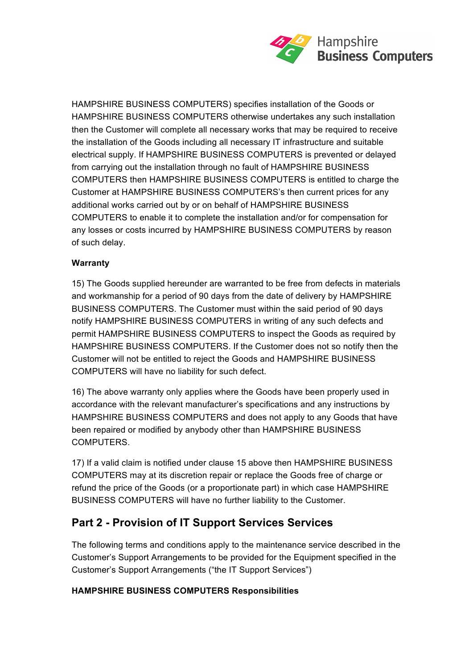

HAMPSHIRE BUSINESS COMPUTERS) specifies installation of the Goods or HAMPSHIRE BUSINESS COMPUTERS otherwise undertakes any such installation then the Customer will complete all necessary works that may be required to receive the installation of the Goods including all necessary IT infrastructure and suitable electrical supply. If HAMPSHIRE BUSINESS COMPUTERS is prevented or delayed from carrying out the installation through no fault of HAMPSHIRE BUSINESS COMPUTERS then HAMPSHIRE BUSINESS COMPUTERS is entitled to charge the Customer at HAMPSHIRE BUSINESS COMPUTERS's then current prices for any additional works carried out by or on behalf of HAMPSHIRE BUSINESS COMPUTERS to enable it to complete the installation and/or for compensation for any losses or costs incurred by HAMPSHIRE BUSINESS COMPUTERS by reason of such delay.

# **Warranty**

15) The Goods supplied hereunder are warranted to be free from defects in materials and workmanship for a period of 90 days from the date of delivery by HAMPSHIRE BUSINESS COMPUTERS. The Customer must within the said period of 90 days notify HAMPSHIRE BUSINESS COMPUTERS in writing of any such defects and permit HAMPSHIRE BUSINESS COMPUTERS to inspect the Goods as required by HAMPSHIRE BUSINESS COMPUTERS. If the Customer does not so notify then the Customer will not be entitled to reject the Goods and HAMPSHIRE BUSINESS COMPUTERS will have no liability for such defect.

16) The above warranty only applies where the Goods have been properly used in accordance with the relevant manufacturer's specifications and any instructions by HAMPSHIRE BUSINESS COMPUTERS and does not apply to any Goods that have been repaired or modified by anybody other than HAMPSHIRE BUSINESS COMPUTERS.

17) If a valid claim is notified under clause 15 above then HAMPSHIRE BUSINESS COMPUTERS may at its discretion repair or replace the Goods free of charge or refund the price of the Goods (or a proportionate part) in which case HAMPSHIRE BUSINESS COMPUTERS will have no further liability to the Customer.

# **Part 2 - Provision of IT Support Services Services**

The following terms and conditions apply to the maintenance service described in the Customer's Support Arrangements to be provided for the Equipment specified in the Customer's Support Arrangements ("the IT Support Services")

# **HAMPSHIRE BUSINESS COMPUTERS Responsibilities**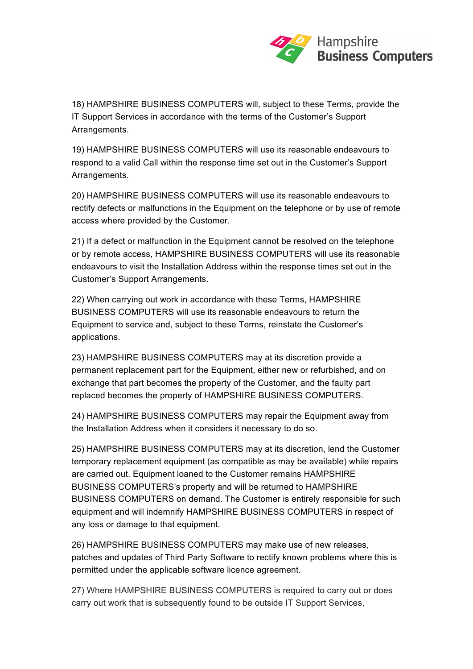

18) HAMPSHIRE BUSINESS COMPUTERS will, subject to these Terms, provide the IT Support Services in accordance with the terms of the Customer's Support Arrangements.

19) HAMPSHIRE BUSINESS COMPUTERS will use its reasonable endeavours to respond to a valid Call within the response time set out in the Customer's Support Arrangements.

20) HAMPSHIRE BUSINESS COMPUTERS will use its reasonable endeavours to rectify defects or malfunctions in the Equipment on the telephone or by use of remote access where provided by the Customer.

21) If a defect or malfunction in the Equipment cannot be resolved on the telephone or by remote access, HAMPSHIRE BUSINESS COMPUTERS will use its reasonable endeavours to visit the Installation Address within the response times set out in the Customer's Support Arrangements.

22) When carrying out work in accordance with these Terms, HAMPSHIRE BUSINESS COMPUTERS will use its reasonable endeavours to return the Equipment to service and, subject to these Terms, reinstate the Customer's applications.

23) HAMPSHIRE BUSINESS COMPUTERS may at its discretion provide a permanent replacement part for the Equipment, either new or refurbished, and on exchange that part becomes the property of the Customer, and the faulty part replaced becomes the property of HAMPSHIRE BUSINESS COMPUTERS.

24) HAMPSHIRE BUSINESS COMPUTERS may repair the Equipment away from the Installation Address when it considers it necessary to do so.

25) HAMPSHIRE BUSINESS COMPUTERS may at its discretion, lend the Customer temporary replacement equipment (as compatible as may be available) while repairs are carried out. Equipment loaned to the Customer remains HAMPSHIRE BUSINESS COMPUTERS's property and will be returned to HAMPSHIRE BUSINESS COMPUTERS on demand. The Customer is entirely responsible for such equipment and will indemnify HAMPSHIRE BUSINESS COMPUTERS in respect of any loss or damage to that equipment.

26) HAMPSHIRE BUSINESS COMPUTERS may make use of new releases, patches and updates of Third Party Software to rectify known problems where this is permitted under the applicable software licence agreement.

27) Where HAMPSHIRE BUSINESS COMPUTERS is required to carry out or does carry out work that is subsequently found to be outside IT Support Services,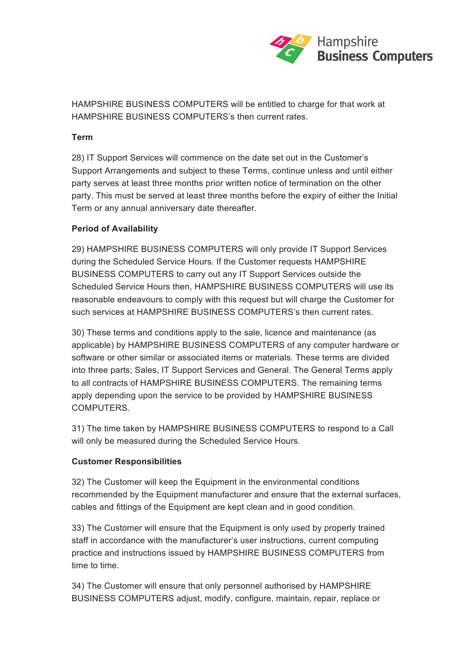

HAMPSHIRE BUSINESS COMPUTERS will be entitled to charge for that work at HAMPSHIRE BUSINESS COMPUTERS's then current rates.

#### **Term**

28) IT Support Services will commence on the date set out in the Customer's Support Arrangements and subject to these Terms, continue unless and until either party serves at least three months prior written notice of termination on the other party. This must be served at least three months before the expiry of either the Initial Term or any annual anniversary date thereafter.

#### **Period of Availability**

29) HAMPSHIRE BUSINESS COMPUTERS will only provide IT Support Services during the Scheduled Service Hours. If the Customer requests HAMPSHIRE BUSINESS COMPUTERS to carry out any IT Support Services outside the Scheduled Service Hours then, HAMPSHIRE BUSINESS COMPUTERS will use its reasonable endeavours to comply with this request but will charge the Customer for such services at HAMPSHIRE BUSINESS COMPUTERS's then current rates.

30) These terms and conditions apply to the sale, licence and maintenance (as applicable) by HAMPSHIRE BUSINESS COMPUTERS of any computer hardware or software or other similar or associated items or materials. These terms are divided into three parts; Sales, IT Support Services and General. The General Terms apply to all contracts of HAMPSHIRE BUSINESS COMPUTERS. The remaining terms apply depending upon the service to be provided by HAMPSHIRE BUSINESS **COMPUTERS** 

31) The time taken by HAMPSHIRE BUSINESS COMPUTERS to respond to a Call will only be measured during the Scheduled Service Hours.

# **Customer Responsibilities**

32) The Customer will keep the Equipment in the environmental conditions recommended by the Equipment manufacturer and ensure that the external surfaces, cables and fittings of the Equipment are kept clean and in good condition.

33) The Customer will ensure that the Equipment is only used by properly trained staff in accordance with the manufacturer's user instructions, current computing practice and instructions issued by HAMPSHIRE BUSINESS COMPUTERS from time to time.

34) The Customer will ensure that only personnel authorised by HAMPSHIRE BUSINESS COMPUTERS adjust, modify, configure, maintain, repair, replace or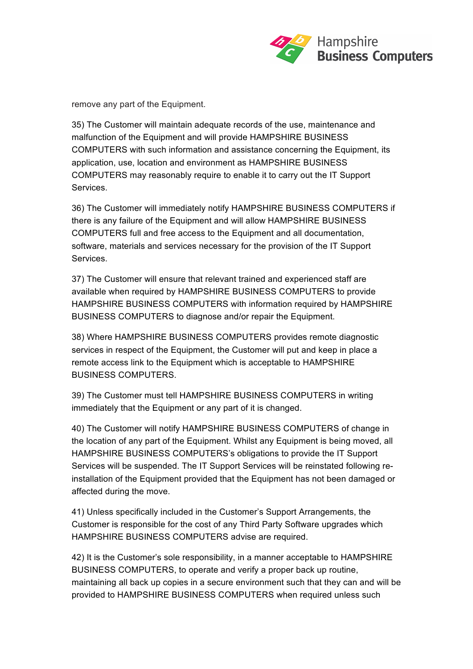

remove any part of the Equipment.

35) The Customer will maintain adequate records of the use, maintenance and malfunction of the Equipment and will provide HAMPSHIRE BUSINESS COMPUTERS with such information and assistance concerning the Equipment, its application, use, location and environment as HAMPSHIRE BUSINESS COMPUTERS may reasonably require to enable it to carry out the IT Support Services.

36) The Customer will immediately notify HAMPSHIRE BUSINESS COMPUTERS if there is any failure of the Equipment and will allow HAMPSHIRE BUSINESS COMPUTERS full and free access to the Equipment and all documentation, software, materials and services necessary for the provision of the IT Support Services.

37) The Customer will ensure that relevant trained and experienced staff are available when required by HAMPSHIRE BUSINESS COMPUTERS to provide HAMPSHIRE BUSINESS COMPUTERS with information required by HAMPSHIRE BUSINESS COMPUTERS to diagnose and/or repair the Equipment.

38) Where HAMPSHIRE BUSINESS COMPUTERS provides remote diagnostic services in respect of the Equipment, the Customer will put and keep in place a remote access link to the Equipment which is acceptable to HAMPSHIRE BUSINESS COMPUTERS.

39) The Customer must tell HAMPSHIRE BUSINESS COMPUTERS in writing immediately that the Equipment or any part of it is changed.

40) The Customer will notify HAMPSHIRE BUSINESS COMPUTERS of change in the location of any part of the Equipment. Whilst any Equipment is being moved, all HAMPSHIRE BUSINESS COMPUTERS's obligations to provide the IT Support Services will be suspended. The IT Support Services will be reinstated following reinstallation of the Equipment provided that the Equipment has not been damaged or affected during the move.

41) Unless specifically included in the Customer's Support Arrangements, the Customer is responsible for the cost of any Third Party Software upgrades which HAMPSHIRE BUSINESS COMPUTERS advise are required.

42) It is the Customer's sole responsibility, in a manner acceptable to HAMPSHIRE BUSINESS COMPUTERS, to operate and verify a proper back up routine, maintaining all back up copies in a secure environment such that they can and will be provided to HAMPSHIRE BUSINESS COMPUTERS when required unless such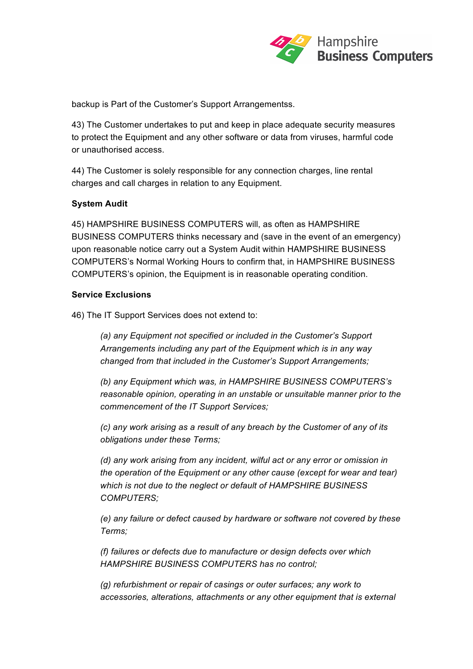

backup is Part of the Customer's Support Arrangementss.

43) The Customer undertakes to put and keep in place adequate security measures to protect the Equipment and any other software or data from viruses, harmful code or unauthorised access.

44) The Customer is solely responsible for any connection charges, line rental charges and call charges in relation to any Equipment.

#### **System Audit**

45) HAMPSHIRE BUSINESS COMPUTERS will, as often as HAMPSHIRE BUSINESS COMPUTERS thinks necessary and (save in the event of an emergency) upon reasonable notice carry out a System Audit within HAMPSHIRE BUSINESS COMPUTERS's Normal Working Hours to confirm that, in HAMPSHIRE BUSINESS COMPUTERS's opinion, the Equipment is in reasonable operating condition.

#### **Service Exclusions**

46) The IT Support Services does not extend to:

*(a) any Equipment not specified or included in the Customer's Support Arrangements including any part of the Equipment which is in any way changed from that included in the Customer's Support Arrangements;* 

*(b) any Equipment which was, in HAMPSHIRE BUSINESS COMPUTERS's reasonable opinion, operating in an unstable or unsuitable manner prior to the commencement of the IT Support Services;* 

*(c) any work arising as a result of any breach by the Customer of any of its obligations under these Terms;* 

*(d) any work arising from any incident, wilful act or any error or omission in the operation of the Equipment or any other cause (except for wear and tear) which is not due to the neglect or default of HAMPSHIRE BUSINESS COMPUTERS;* 

*(e) any failure or defect caused by hardware or software not covered by these Terms;* 

*(f) failures or defects due to manufacture or design defects over which HAMPSHIRE BUSINESS COMPUTERS has no control;* 

*(g) refurbishment or repair of casings or outer surfaces; any work to accessories, alterations, attachments or any other equipment that is external*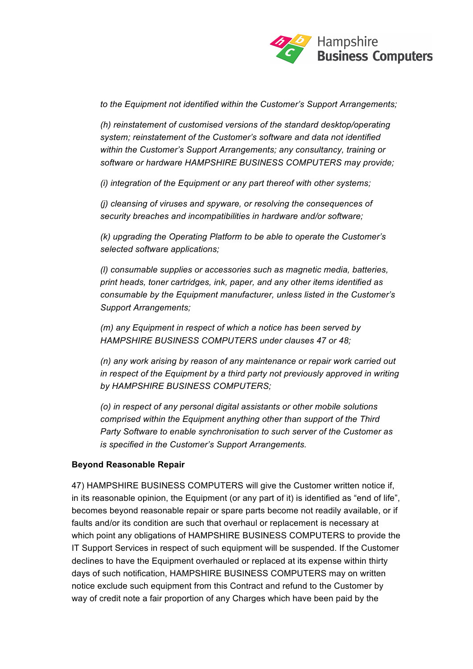

*to the Equipment not identified within the Customer's Support Arrangements;* 

*(h) reinstatement of customised versions of the standard desktop/operating system; reinstatement of the Customer's software and data not identified within the Customer's Support Arrangements; any consultancy, training or software or hardware HAMPSHIRE BUSINESS COMPUTERS may provide;* 

*(i) integration of the Equipment or any part thereof with other systems;* 

*(j) cleansing of viruses and spyware, or resolving the consequences of security breaches and incompatibilities in hardware and/or software;* 

*(k) upgrading the Operating Platform to be able to operate the Customer's selected software applications;* 

*(l) consumable supplies or accessories such as magnetic media, batteries, print heads, toner cartridges, ink, paper, and any other items identified as consumable by the Equipment manufacturer, unless listed in the Customer's Support Arrangements;* 

*(m) any Equipment in respect of which a notice has been served by HAMPSHIRE BUSINESS COMPUTERS under clauses 47 or 48;* 

*(n) any work arising by reason of any maintenance or repair work carried out in respect of the Equipment by a third party not previously approved in writing by HAMPSHIRE BUSINESS COMPUTERS;* 

*(o) in respect of any personal digital assistants or other mobile solutions comprised within the Equipment anything other than support of the Third Party Software to enable synchronisation to such server of the Customer as is specified in the Customer's Support Arrangements.* 

#### **Beyond Reasonable Repair**

47) HAMPSHIRE BUSINESS COMPUTERS will give the Customer written notice if, in its reasonable opinion, the Equipment (or any part of it) is identified as "end of life", becomes beyond reasonable repair or spare parts become not readily available, or if faults and/or its condition are such that overhaul or replacement is necessary at which point any obligations of HAMPSHIRE BUSINESS COMPUTERS to provide the IT Support Services in respect of such equipment will be suspended. If the Customer declines to have the Equipment overhauled or replaced at its expense within thirty days of such notification, HAMPSHIRE BUSINESS COMPUTERS may on written notice exclude such equipment from this Contract and refund to the Customer by way of credit note a fair proportion of any Charges which have been paid by the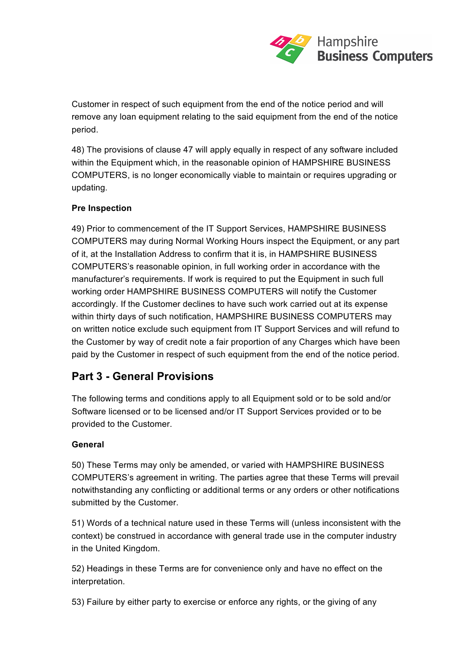

Customer in respect of such equipment from the end of the notice period and will remove any loan equipment relating to the said equipment from the end of the notice period.

48) The provisions of clause 47 will apply equally in respect of any software included within the Equipment which, in the reasonable opinion of HAMPSHIRE BUSINESS COMPUTERS, is no longer economically viable to maintain or requires upgrading or updating.

# **Pre Inspection**

49) Prior to commencement of the IT Support Services, HAMPSHIRE BUSINESS COMPUTERS may during Normal Working Hours inspect the Equipment, or any part of it, at the Installation Address to confirm that it is, in HAMPSHIRE BUSINESS COMPUTERS's reasonable opinion, in full working order in accordance with the manufacturer's requirements. If work is required to put the Equipment in such full working order HAMPSHIRE BUSINESS COMPUTERS will notify the Customer accordingly. If the Customer declines to have such work carried out at its expense within thirty days of such notification, HAMPSHIRE BUSINESS COMPUTERS may on written notice exclude such equipment from IT Support Services and will refund to the Customer by way of credit note a fair proportion of any Charges which have been paid by the Customer in respect of such equipment from the end of the notice period.

# **Part 3 - General Provisions**

The following terms and conditions apply to all Equipment sold or to be sold and/or Software licensed or to be licensed and/or IT Support Services provided or to be provided to the Customer.

# **General**

50) These Terms may only be amended, or varied with HAMPSHIRE BUSINESS COMPUTERS's agreement in writing. The parties agree that these Terms will prevail notwithstanding any conflicting or additional terms or any orders or other notifications submitted by the Customer.

51) Words of a technical nature used in these Terms will (unless inconsistent with the context) be construed in accordance with general trade use in the computer industry in the United Kingdom.

52) Headings in these Terms are for convenience only and have no effect on the interpretation.

53) Failure by either party to exercise or enforce any rights, or the giving of any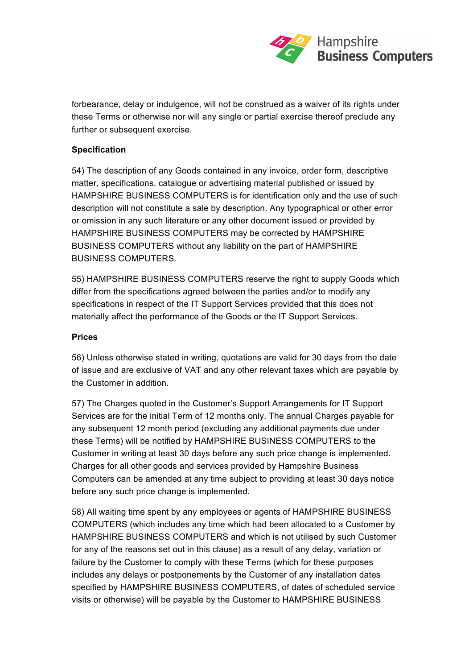

forbearance, delay or indulgence, will not be construed as a waiver of its rights under these Terms or otherwise nor will any single or partial exercise thereof preclude any further or subsequent exercise.

#### **Specification**

54) The description of any Goods contained in any invoice, order form, descriptive matter, specifications, catalogue or advertising material published or issued by HAMPSHIRE BUSINESS COMPUTERS is for identification only and the use of such description will not constitute a sale by description. Any typographical or other error or omission in any such literature or any other document issued or provided by HAMPSHIRE BUSINESS COMPUTERS may be corrected by HAMPSHIRE BUSINESS COMPUTERS without any liability on the part of HAMPSHIRE BUSINESS COMPUTERS.

55) HAMPSHIRE BUSINESS COMPUTERS reserve the right to supply Goods which differ from the specifications agreed between the parties and/or to modify any specifications in respect of the IT Support Services provided that this does not materially affect the performance of the Goods or the IT Support Services.

#### **Prices**

56) Unless otherwise stated in writing, quotations are valid for 30 days from the date of issue and are exclusive of VAT and any other relevant taxes which are payable by the Customer in addition.

57) The Charges quoted in the Customer's Support Arrangements for IT Support Services are for the initial Term of 12 months only. The annual Charges payable for any subsequent 12 month period (excluding any additional payments due under these Terms) will be notified by HAMPSHIRE BUSINESS COMPUTERS to the Customer in writing at least 30 days before any such price change is implemented. Charges for all other goods and services provided by Hampshire Business Computers can be amended at any time subject to providing at least 30 days notice before any such price change is implemented.

58) All waiting time spent by any employees or agents of HAMPSHIRE BUSINESS COMPUTERS (which includes any time which had been allocated to a Customer by HAMPSHIRE BUSINESS COMPUTERS and which is not utilised by such Customer for any of the reasons set out in this clause) as a result of any delay, variation or failure by the Customer to comply with these Terms (which for these purposes includes any delays or postponements by the Customer of any installation dates specified by HAMPSHIRE BUSINESS COMPUTERS, of dates of scheduled service visits or otherwise) will be payable by the Customer to HAMPSHIRE BUSINESS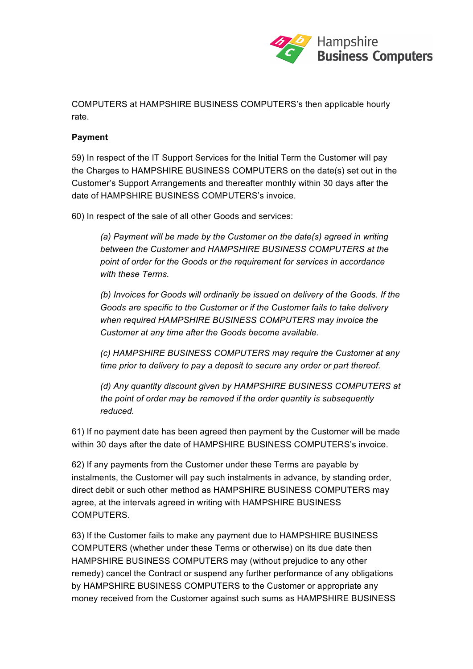

COMPUTERS at HAMPSHIRE BUSINESS COMPUTERS's then applicable hourly rate.

#### **Payment**

59) In respect of the IT Support Services for the Initial Term the Customer will pay the Charges to HAMPSHIRE BUSINESS COMPUTERS on the date(s) set out in the Customer's Support Arrangements and thereafter monthly within 30 days after the date of HAMPSHIRE BUSINESS COMPUTERS's invoice.

60) In respect of the sale of all other Goods and services:

*(a) Payment will be made by the Customer on the date(s) agreed in writing between the Customer and HAMPSHIRE BUSINESS COMPUTERS at the point of order for the Goods or the requirement for services in accordance with these Terms.* 

*(b) Invoices for Goods will ordinarily be issued on delivery of the Goods. If the Goods are specific to the Customer or if the Customer fails to take delivery when required HAMPSHIRE BUSINESS COMPUTERS may invoice the Customer at any time after the Goods become available.* 

*(c) HAMPSHIRE BUSINESS COMPUTERS may require the Customer at any time prior to delivery to pay a deposit to secure any order or part thereof.* 

*(d) Any quantity discount given by HAMPSHIRE BUSINESS COMPUTERS at the point of order may be removed if the order quantity is subsequently reduced.* 

61) If no payment date has been agreed then payment by the Customer will be made within 30 days after the date of HAMPSHIRE BUSINESS COMPUTERS's invoice.

62) If any payments from the Customer under these Terms are payable by instalments, the Customer will pay such instalments in advance, by standing order, direct debit or such other method as HAMPSHIRE BUSINESS COMPUTERS may agree, at the intervals agreed in writing with HAMPSHIRE BUSINESS COMPUTERS.

63) If the Customer fails to make any payment due to HAMPSHIRE BUSINESS COMPUTERS (whether under these Terms or otherwise) on its due date then HAMPSHIRE BUSINESS COMPUTERS may (without prejudice to any other remedy) cancel the Contract or suspend any further performance of any obligations by HAMPSHIRE BUSINESS COMPUTERS to the Customer or appropriate any money received from the Customer against such sums as HAMPSHIRE BUSINESS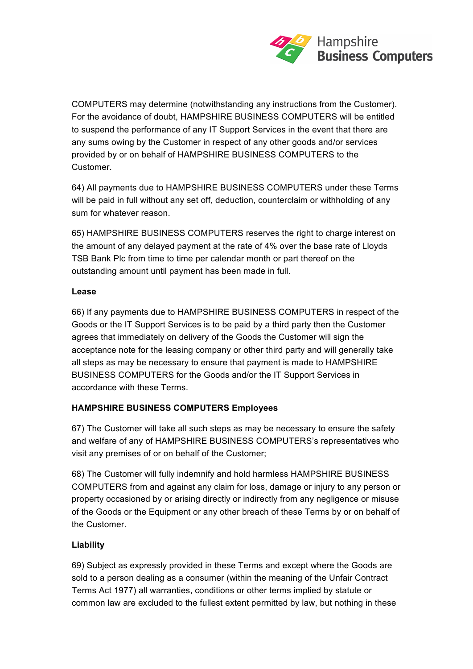

COMPUTERS may determine (notwithstanding any instructions from the Customer). For the avoidance of doubt, HAMPSHIRE BUSINESS COMPUTERS will be entitled to suspend the performance of any IT Support Services in the event that there are any sums owing by the Customer in respect of any other goods and/or services provided by or on behalf of HAMPSHIRE BUSINESS COMPUTERS to the Customer.

64) All payments due to HAMPSHIRE BUSINESS COMPUTERS under these Terms will be paid in full without any set off, deduction, counterclaim or withholding of any sum for whatever reason.

65) HAMPSHIRE BUSINESS COMPUTERS reserves the right to charge interest on the amount of any delayed payment at the rate of 4% over the base rate of Lloyds TSB Bank Plc from time to time per calendar month or part thereof on the outstanding amount until payment has been made in full.

#### **Lease**

66) If any payments due to HAMPSHIRE BUSINESS COMPUTERS in respect of the Goods or the IT Support Services is to be paid by a third party then the Customer agrees that immediately on delivery of the Goods the Customer will sign the acceptance note for the leasing company or other third party and will generally take all steps as may be necessary to ensure that payment is made to HAMPSHIRE BUSINESS COMPUTERS for the Goods and/or the IT Support Services in accordance with these Terms.

# **HAMPSHIRE BUSINESS COMPUTERS Employees**

67) The Customer will take all such steps as may be necessary to ensure the safety and welfare of any of HAMPSHIRE BUSINESS COMPUTERS's representatives who visit any premises of or on behalf of the Customer;

68) The Customer will fully indemnify and hold harmless HAMPSHIRE BUSINESS COMPUTERS from and against any claim for loss, damage or injury to any person or property occasioned by or arising directly or indirectly from any negligence or misuse of the Goods or the Equipment or any other breach of these Terms by or on behalf of the Customer.

# **Liability**

69) Subject as expressly provided in these Terms and except where the Goods are sold to a person dealing as a consumer (within the meaning of the Unfair Contract Terms Act 1977) all warranties, conditions or other terms implied by statute or common law are excluded to the fullest extent permitted by law, but nothing in these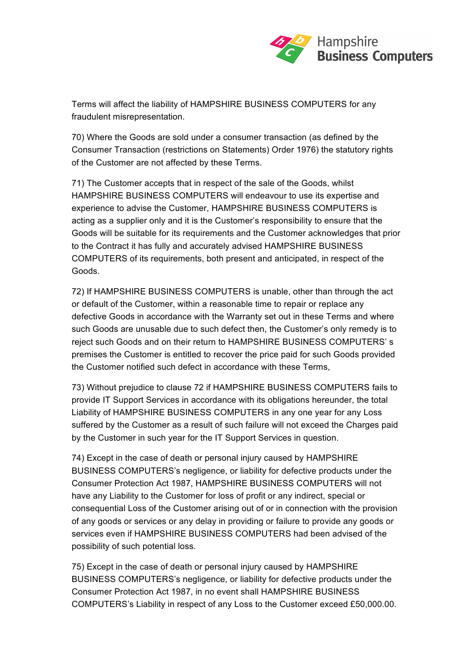

Terms will affect the liability of HAMPSHIRE BUSINESS COMPUTERS for any fraudulent misrepresentation.

70) Where the Goods are sold under a consumer transaction (as defined by the Consumer Transaction (restrictions on Statements) Order 1976) the statutory rights of the Customer are not affected by these Terms.

71) The Customer accepts that in respect of the sale of the Goods, whilst HAMPSHIRE BUSINESS COMPUTERS will endeavour to use its expertise and experience to advise the Customer, HAMPSHIRE BUSINESS COMPUTERS is acting as a supplier only and it is the Customer's responsibility to ensure that the Goods will be suitable for its requirements and the Customer acknowledges that prior to the Contract it has fully and accurately advised HAMPSHIRE BUSINESS COMPUTERS of its requirements, both present and anticipated, in respect of the Goods.

72) If HAMPSHIRE BUSINESS COMPUTERS is unable, other than through the act or default of the Customer, within a reasonable time to repair or replace any defective Goods in accordance with the Warranty set out in these Terms and where such Goods are unusable due to such defect then, the Customer's only remedy is to reject such Goods and on their return to HAMPSHIRE BUSINESS COMPUTERS' s premises the Customer is entitled to recover the price paid for such Goods provided the Customer notified such defect in accordance with these Terms,

73) Without prejudice to clause 72 if HAMPSHIRE BUSINESS COMPUTERS fails to provide IT Support Services in accordance with its obligations hereunder, the total Liability of HAMPSHIRE BUSINESS COMPUTERS in any one year for any Loss suffered by the Customer as a result of such failure will not exceed the Charges paid by the Customer in such year for the IT Support Services in question.

74) Except in the case of death or personal injury caused by HAMPSHIRE BUSINESS COMPUTERS's negligence, or liability for defective products under the Consumer Protection Act 1987, HAMPSHIRE BUSINESS COMPUTERS will not have any Liability to the Customer for loss of profit or any indirect, special or consequential Loss of the Customer arising out of or in connection with the provision of any goods or services or any delay in providing or failure to provide any goods or services even if HAMPSHIRE BUSINESS COMPUTERS had been advised of the possibility of such potential loss.

75) Except in the case of death or personal injury caused by HAMPSHIRE BUSINESS COMPUTERS's negligence, or liability for defective products under the Consumer Protection Act 1987, in no event shall HAMPSHIRE BUSINESS COMPUTERS's Liability in respect of any Loss to the Customer exceed £50,000.00.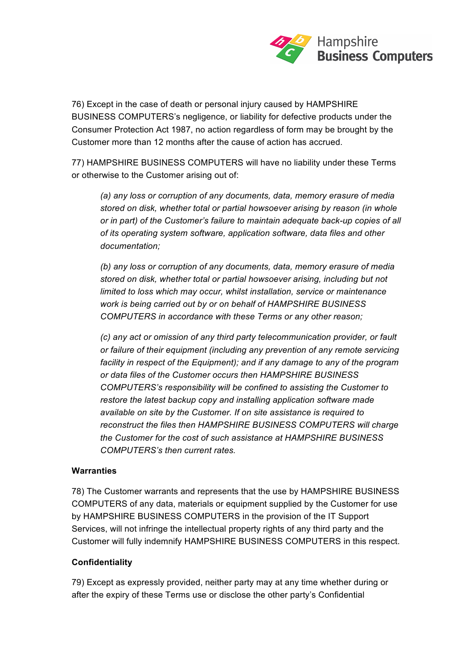

76) Except in the case of death or personal injury caused by HAMPSHIRE BUSINESS COMPUTERS's negligence, or liability for defective products under the Consumer Protection Act 1987, no action regardless of form may be brought by the Customer more than 12 months after the cause of action has accrued.

77) HAMPSHIRE BUSINESS COMPUTERS will have no liability under these Terms or otherwise to the Customer arising out of:

*(a) any loss or corruption of any documents, data, memory erasure of media stored on disk, whether total or partial howsoever arising by reason (in whole or in part) of the Customer's failure to maintain adequate back-up copies of all of its operating system software, application software, data files and other documentation;* 

*(b) any loss or corruption of any documents, data, memory erasure of media stored on disk, whether total or partial howsoever arising, including but not limited to loss which may occur, whilst installation, service or maintenance work is being carried out by or on behalf of HAMPSHIRE BUSINESS COMPUTERS in accordance with these Terms or any other reason;* 

*(c) any act or omission of any third party telecommunication provider, or fault or failure of their equipment (including any prevention of any remote servicing facility in respect of the Equipment); and if any damage to any of the program or data files of the Customer occurs then HAMPSHIRE BUSINESS COMPUTERS's responsibility will be confined to assisting the Customer to restore the latest backup copy and installing application software made available on site by the Customer. If on site assistance is required to reconstruct the files then HAMPSHIRE BUSINESS COMPUTERS will charge the Customer for the cost of such assistance at HAMPSHIRE BUSINESS COMPUTERS's then current rates.* 

#### **Warranties**

78) The Customer warrants and represents that the use by HAMPSHIRE BUSINESS COMPUTERS of any data, materials or equipment supplied by the Customer for use by HAMPSHIRE BUSINESS COMPUTERS in the provision of the IT Support Services, will not infringe the intellectual property rights of any third party and the Customer will fully indemnify HAMPSHIRE BUSINESS COMPUTERS in this respect.

#### **Confidentiality**

79) Except as expressly provided, neither party may at any time whether during or after the expiry of these Terms use or disclose the other party's Confidential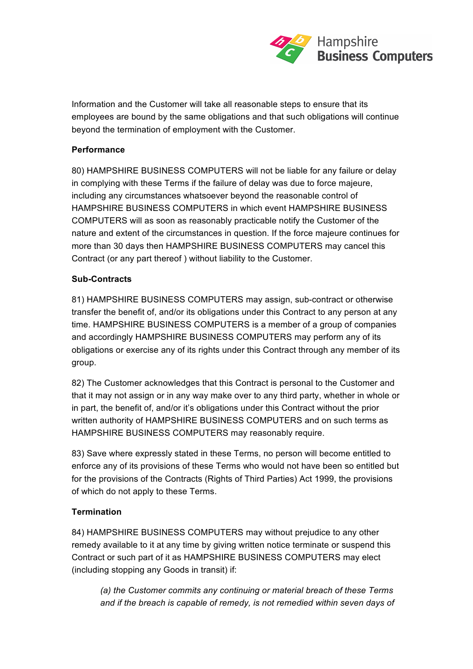

Information and the Customer will take all reasonable steps to ensure that its employees are bound by the same obligations and that such obligations will continue beyond the termination of employment with the Customer.

#### **Performance**

80) HAMPSHIRE BUSINESS COMPUTERS will not be liable for any failure or delay in complying with these Terms if the failure of delay was due to force majeure, including any circumstances whatsoever beyond the reasonable control of HAMPSHIRE BUSINESS COMPUTERS in which event HAMPSHIRE BUSINESS COMPUTERS will as soon as reasonably practicable notify the Customer of the nature and extent of the circumstances in question. If the force majeure continues for more than 30 days then HAMPSHIRE BUSINESS COMPUTERS may cancel this Contract (or any part thereof ) without liability to the Customer.

#### **Sub-Contracts**

81) HAMPSHIRE BUSINESS COMPUTERS may assign, sub-contract or otherwise transfer the benefit of, and/or its obligations under this Contract to any person at any time. HAMPSHIRE BUSINESS COMPUTERS is a member of a group of companies and accordingly HAMPSHIRE BUSINESS COMPUTERS may perform any of its obligations or exercise any of its rights under this Contract through any member of its group.

82) The Customer acknowledges that this Contract is personal to the Customer and that it may not assign or in any way make over to any third party, whether in whole or in part, the benefit of, and/or it's obligations under this Contract without the prior written authority of HAMPSHIRE BUSINESS COMPUTERS and on such terms as HAMPSHIRE BUSINESS COMPUTERS may reasonably require.

83) Save where expressly stated in these Terms, no person will become entitled to enforce any of its provisions of these Terms who would not have been so entitled but for the provisions of the Contracts (Rights of Third Parties) Act 1999, the provisions of which do not apply to these Terms.

# **Termination**

84) HAMPSHIRE BUSINESS COMPUTERS may without prejudice to any other remedy available to it at any time by giving written notice terminate or suspend this Contract or such part of it as HAMPSHIRE BUSINESS COMPUTERS may elect (including stopping any Goods in transit) if:

*(a) the Customer commits any continuing or material breach of these Terms and if the breach is capable of remedy, is not remedied within seven days of*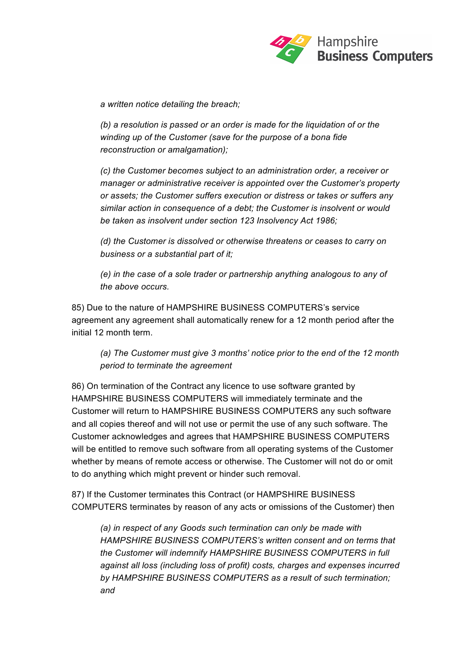

*a written notice detailing the breach;* 

*(b) a resolution is passed or an order is made for the liquidation of or the winding up of the Customer (save for the purpose of a bona fide reconstruction or amalgamation);* 

*(c) the Customer becomes subject to an administration order, a receiver or manager or administrative receiver is appointed over the Customer's property or assets; the Customer suffers execution or distress or takes or suffers any similar action in consequence of a debt; the Customer is insolvent or would be taken as insolvent under section 123 Insolvency Act 1986;* 

*(d) the Customer is dissolved or otherwise threatens or ceases to carry on business or a substantial part of it;* 

*(e) in the case of a sole trader or partnership anything analogous to any of the above occurs.* 

85) Due to the nature of HAMPSHIRE BUSINESS COMPUTERS's service agreement any agreement shall automatically renew for a 12 month period after the initial 12 month term.

*(a) The Customer must give 3 months' notice prior to the end of the 12 month period to terminate the agreement* 

86) On termination of the Contract any licence to use software granted by HAMPSHIRE BUSINESS COMPUTERS will immediately terminate and the Customer will return to HAMPSHIRE BUSINESS COMPUTERS any such software and all copies thereof and will not use or permit the use of any such software. The Customer acknowledges and agrees that HAMPSHIRE BUSINESS COMPUTERS will be entitled to remove such software from all operating systems of the Customer whether by means of remote access or otherwise. The Customer will not do or omit to do anything which might prevent or hinder such removal.

87) If the Customer terminates this Contract (or HAMPSHIRE BUSINESS COMPUTERS terminates by reason of any acts or omissions of the Customer) then

*(a) in respect of any Goods such termination can only be made with HAMPSHIRE BUSINESS COMPUTERS's written consent and on terms that the Customer will indemnify HAMPSHIRE BUSINESS COMPUTERS in full against all loss (including loss of profit) costs, charges and expenses incurred by HAMPSHIRE BUSINESS COMPUTERS as a result of such termination; and*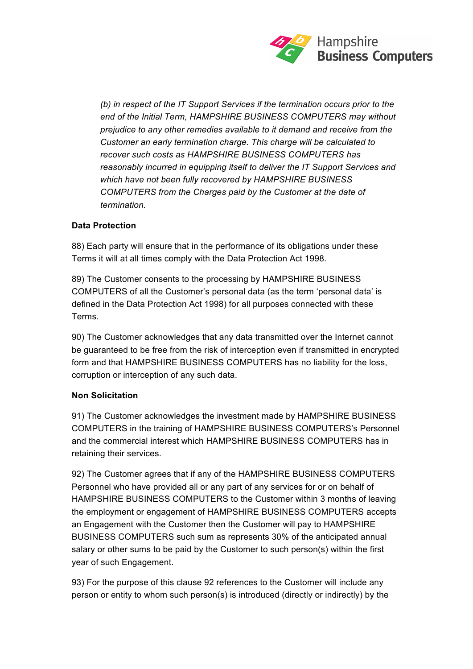

*(b) in respect of the IT Support Services if the termination occurs prior to the end of the Initial Term, HAMPSHIRE BUSINESS COMPUTERS may without prejudice to any other remedies available to it demand and receive from the Customer an early termination charge. This charge will be calculated to recover such costs as HAMPSHIRE BUSINESS COMPUTERS has reasonably incurred in equipping itself to deliver the IT Support Services and which have not been fully recovered by HAMPSHIRE BUSINESS COMPUTERS from the Charges paid by the Customer at the date of termination.* 

# **Data Protection**

88) Each party will ensure that in the performance of its obligations under these Terms it will at all times comply with the Data Protection Act 1998.

89) The Customer consents to the processing by HAMPSHIRE BUSINESS COMPUTERS of all the Customer's personal data (as the term 'personal data' is defined in the Data Protection Act 1998) for all purposes connected with these Terms.

90) The Customer acknowledges that any data transmitted over the Internet cannot be guaranteed to be free from the risk of interception even if transmitted in encrypted form and that HAMPSHIRE BUSINESS COMPUTERS has no liability for the loss, corruption or interception of any such data.

# **Non Solicitation**

91) The Customer acknowledges the investment made by HAMPSHIRE BUSINESS COMPUTERS in the training of HAMPSHIRE BUSINESS COMPUTERS's Personnel and the commercial interest which HAMPSHIRE BUSINESS COMPUTERS has in retaining their services.

92) The Customer agrees that if any of the HAMPSHIRE BUSINESS COMPUTERS Personnel who have provided all or any part of any services for or on behalf of HAMPSHIRE BUSINESS COMPUTERS to the Customer within 3 months of leaving the employment or engagement of HAMPSHIRE BUSINESS COMPUTERS accepts an Engagement with the Customer then the Customer will pay to HAMPSHIRE BUSINESS COMPUTERS such sum as represents 30% of the anticipated annual salary or other sums to be paid by the Customer to such person(s) within the first year of such Engagement.

93) For the purpose of this clause 92 references to the Customer will include any person or entity to whom such person(s) is introduced (directly or indirectly) by the